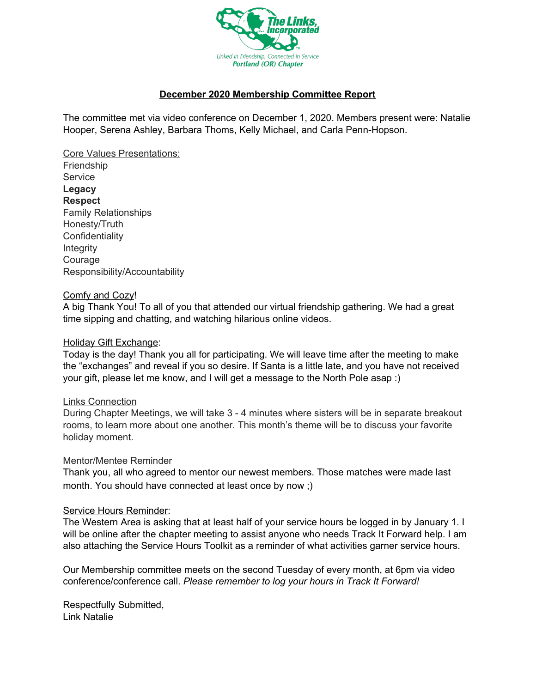

## **December 2020 Membership Committee Report**

The committee met via video conference on December 1, 2020. Members present were: Natalie Hooper, Serena Ashley, Barbara Thoms, Kelly Michael, and Carla Penn-Hopson.

Core Values Presentations: Friendship **Service Legacy Respect** Family Relationships Honesty/Truth **Confidentiality** Integrity Courage Responsibility/Accountability

#### Comfy and Cozy!

A big Thank You! To all of you that attended our virtual friendship gathering. We had a great time sipping and chatting, and watching hilarious online videos.

#### Holiday Gift Exchange:

Today is the day! Thank you all for participating. We will leave time after the meeting to make the "exchanges" and reveal if you so desire. If Santa is a little late, and you have not received your gift, please let me know, and I will get a message to the North Pole asap :)

#### Links Connection

During Chapter Meetings, we will take 3 - 4 minutes where sisters will be in separate breakout rooms, to learn more about one another. This month's theme will be to discuss your favorite holiday moment.

#### Mentor/Mentee Reminder

Thank you, all who agreed to mentor our newest members. Those matches were made last month. You should have connected at least once by now ;)

#### Service Hours Reminder:

The Western Area is asking that at least half of your service hours be logged in by January 1. I will be online after the chapter meeting to assist anyone who needs Track It Forward help. I am also attaching the Service Hours Toolkit as a reminder of what activities garner service hours.

Our Membership committee meets on the second Tuesday of every month, at 6pm via video conference/conference call. *Please remember to log your hours in Track It Forward!*

Respectfully Submitted, Link Natalie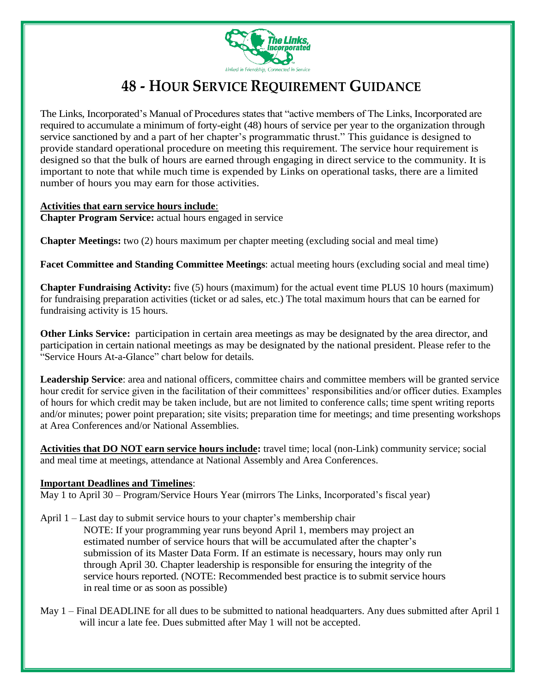

## **48 - HOUR SERVICE REQUIREMENT GUIDANCE**

The Links, Incorporated's Manual of Procedures states that "active members of The Links, Incorporated are required to accumulate a minimum of forty-eight (48) hours of service per year to the organization through service sanctioned by and a part of her chapter's programmatic thrust." This guidance is designed to provide standard operational procedure on meeting this requirement. The service hour requirement is designed so that the bulk of hours are earned through engaging in direct service to the community. It is important to note that while much time is expended by Links on operational tasks, there are a limited number of hours you may earn for those activities.

## **Activities that earn service hours include**: **Chapter Program Service:** actual hours engaged in service

**Chapter Meetings:** two (2) hours maximum per chapter meeting (excluding social and meal time)

**Facet Committee and Standing Committee Meetings**: actual meeting hours (excluding social and meal time)

**Chapter Fundraising Activity:** five (5) hours (maximum) for the actual event time PLUS 10 hours (maximum) for fundraising preparation activities (ticket or ad sales, etc.) The total maximum hours that can be earned for fundraising activity is 15 hours.

**Other Links Service:** participation in certain area meetings as may be designated by the area director, and participation in certain national meetings as may be designated by the national president. Please refer to the "Service Hours At-a-Glance" chart below for details.

**Leadership Service**: area and national officers, committee chairs and committee members will be granted service hour credit for service given in the facilitation of their committees' responsibilities and/or officer duties. Examples of hours for which credit may be taken include, but are not limited to conference calls; time spent writing reports and/or minutes; power point preparation; site visits; preparation time for meetings; and time presenting workshops at Area Conferences and/or National Assemblies.

**Activities that DO NOT earn service hours include:** travel time; local (non-Link) community service; social and meal time at meetings, attendance at National Assembly and Area Conferences.

## **Important Deadlines and Timelines**:

May 1 to April 30 – Program/Service Hours Year (mirrors The Links, Incorporated's fiscal year)

- April 1 Last day to submit service hours to your chapter's membership chair NOTE: If your programming year runs beyond April 1, members may project an estimated number of service hours that will be accumulated after the chapter's submission of its Master Data Form. If an estimate is necessary, hours may only run through April 30. Chapter leadership is responsible for ensuring the integrity of the service hours reported. (NOTE: Recommended best practice is to submit service hours in real time or as soon as possible)
- May 1 Final DEADLINE for all dues to be submitted to national headquarters. Any dues submitted after April 1 will incur a late fee. Dues submitted after May 1 will not be accepted.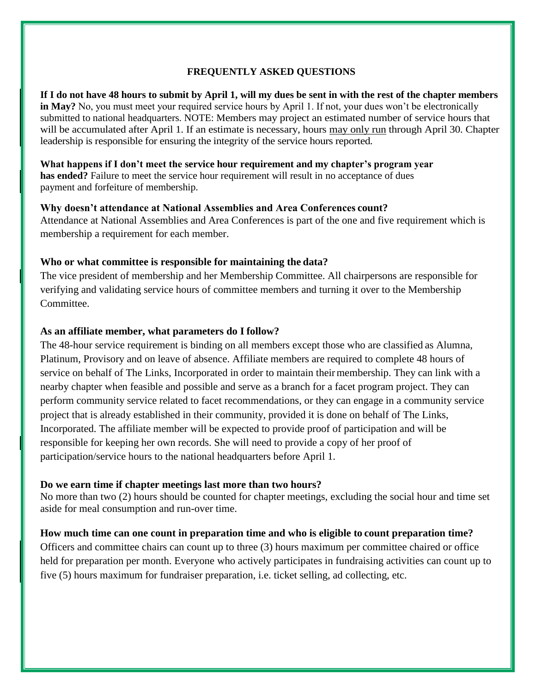## **FREQUENTLY ASKED QUESTIONS**

**If I do not have 48 hours to submit by April 1, will my dues be sent in with the rest of the chapter members in May?** No, you must meet your required service hours by April 1. If not, your dues won't be electronically submitted to national headquarters. NOTE: Members may project an estimated number of service hours that will be accumulated after April 1. If an estimate is necessary, hours may only run through April 30. Chapter leadership is responsible for ensuring the integrity of the service hours reported.

**What happens if I don't meet the service hour requirement and my chapter's program year has ended?** Failure to meet the service hour requirement will result in no acceptance of dues payment and forfeiture of membership.

#### **Why doesn't attendance at National Assemblies and Area Conferences count?**

Attendance at National Assemblies and Area Conferences is part of the one and five requirement which is membership a requirement for each member.

#### **Who or what committee is responsible for maintaining the data?**

The vice president of membership and her Membership Committee. All chairpersons are responsible for verifying and validating service hours of committee members and turning it over to the Membership Committee.

## **As an affiliate member, what parameters do I follow?**

The 48-hour service requirement is binding on all members except those who are classified as Alumna, Platinum, Provisory and on leave of absence. Affiliate members are required to complete 48 hours of service on behalf of The Links, Incorporated in order to maintain their membership. They can link with a nearby chapter when feasible and possible and serve as a branch for a facet program project. They can perform community service related to facet recommendations, or they can engage in a community service project that is already established in their community, provided it is done on behalf of The Links, Incorporated. The affiliate member will be expected to provide proof of participation and will be responsible for keeping her own records. She will need to provide a copy of her proof of participation/service hours to the national headquarters before April 1.

#### **Do we earn time if chapter meetings last more than two hours?**

No more than two (2) hours should be counted for chapter meetings, excluding the social hour and time set aside for meal consumption and run-over time.

## **How much time can one count in preparation time and who is eligible to count preparation time?**

Officers and committee chairs can count up to three (3) hours maximum per committee chaired or office held for preparation per month. Everyone who actively participates in fundraising activities can count up to five (5) hours maximum for fundraiser preparation, i.e. ticket selling, ad collecting, etc.